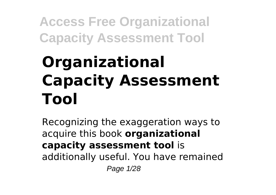# **Organizational Capacity Assessment Tool**

Recognizing the exaggeration ways to acquire this book **organizational capacity assessment tool** is additionally useful. You have remained Page 1/28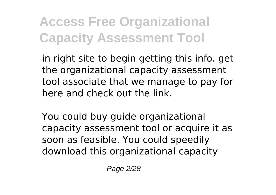in right site to begin getting this info. get the organizational capacity assessment tool associate that we manage to pay for here and check out the link.

You could buy guide organizational capacity assessment tool or acquire it as soon as feasible. You could speedily download this organizational capacity

Page 2/28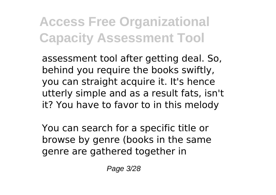assessment tool after getting deal. So, behind you require the books swiftly, you can straight acquire it. It's hence utterly simple and as a result fats, isn't it? You have to favor to in this melody

You can search for a specific title or browse by genre (books in the same genre are gathered together in

Page 3/28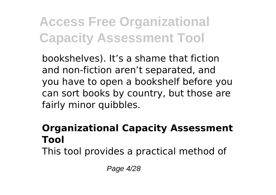bookshelves). It's a shame that fiction and non-fiction aren't separated, and you have to open a bookshelf before you can sort books by country, but those are fairly minor quibbles.

### **Organizational Capacity Assessment Tool**

This tool provides a practical method of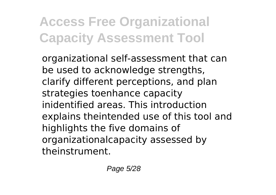organizational self-assessment that can be used to acknowledge strengths, clarify different perceptions, and plan strategies toenhance capacity inidentified areas. This introduction explains theintended use of this tool and highlights the five domains of organizationalcapacity assessed by theinstrument.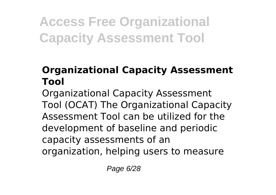### **Organizational Capacity Assessment Tool**

Organizational Capacity Assessment Tool (OCAT) The Organizational Capacity Assessment Tool can be utilized for the development of baseline and periodic capacity assessments of an organization, helping users to measure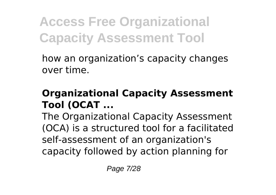how an organization's capacity changes over time.

#### **Organizational Capacity Assessment Tool (OCAT ...**

The Organizational Capacity Assessment (OCA) is a structured tool for a facilitated self-assessment of an organization's capacity followed by action planning for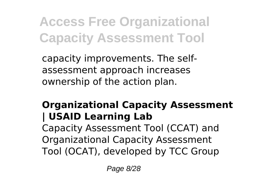capacity improvements. The selfassessment approach increases ownership of the action plan.

### **Organizational Capacity Assessment | USAID Learning Lab**

Capacity Assessment Tool (CCAT) and Organizational Capacity Assessment Tool (OCAT), developed by TCC Group

Page 8/28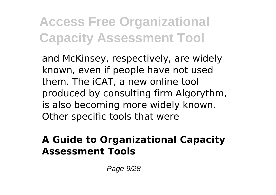and McKinsey, respectively, are widely known, even if people have not used them. The iCAT, a new online tool produced by consulting firm Algorythm, is also becoming more widely known. Other specific tools that were

#### **A Guide to Organizational Capacity Assessment Tools**

Page 9/28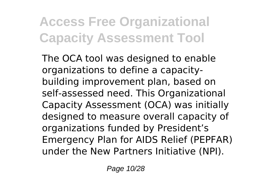The OCA tool was designed to enable organizations to define a capacitybuilding improvement plan, based on self-assessed need. This Organizational Capacity Assessment (OCA) was initially designed to measure overall capacity of organizations funded by President's Emergency Plan for AIDS Relief (PEPFAR) under the New Partners Initiative (NPI).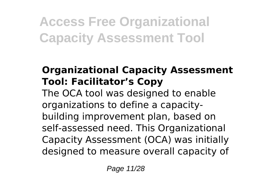### **Organizational Capacity Assessment Tool: Facilitator's Copy**

The OCA tool was designed to enable organizations to define a capacitybuilding improvement plan, based on self-assessed need. This Organizational Capacity Assessment (OCA) was initially designed to measure overall capacity of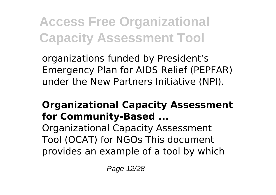organizations funded by President's Emergency Plan for AIDS Relief (PEPFAR) under the New Partners Initiative (NPI).

### **Organizational Capacity Assessment for Community-Based ...**

Organizational Capacity Assessment Tool (OCAT) for NGOs This document provides an example of a tool by which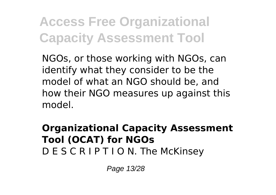NGOs, or those working with NGOs, can identify what they consider to be the model of what an NGO should be, and how their NGO measures up against this model.

#### **Organizational Capacity Assessment Tool (OCAT) for NGOs** D E S C R I P T I O N. The McKinsey

Page 13/28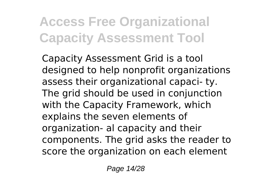Capacity Assessment Grid is a tool designed to help nonprofit organizations assess their organizational capaci- ty. The grid should be used in conjunction with the Capacity Framework, which explains the seven elements of organization- al capacity and their components. The grid asks the reader to score the organization on each element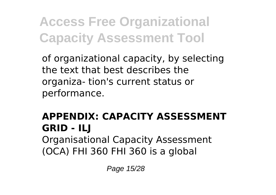of organizational capacity, by selecting the text that best describes the organiza- tion's current status or performance.

#### **APPENDIX: CAPACITY ASSESSMENT GRID - ILJ** Organisational Capacity Assessment (OCA) FHI 360 FHI 360 is a global

Page 15/28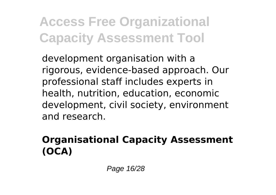development organisation with a rigorous, evidence-based approach. Our professional staff includes experts in health, nutrition, education, economic development, civil society, environment and research.

### **Organisational Capacity Assessment (OCA)**

Page 16/28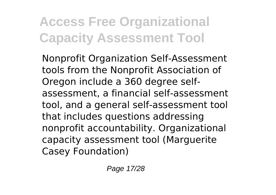Nonprofit Organization Self-Assessment tools from the Nonprofit Association of Oregon include a 360 degree selfassessment, a financial self-assessment tool, and a general self-assessment tool that includes questions addressing nonprofit accountability. Organizational capacity assessment tool (Marguerite Casey Foundation)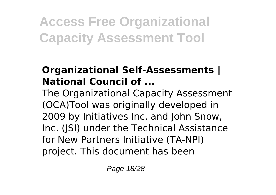### **Organizational Self-Assessments | National Council of ...**

The Organizational Capacity Assessment (OCA)Tool was originally developed in 2009 by Initiatives Inc. and John Snow, Inc. (JSI) under the Technical Assistance for New Partners Initiative (TA-NPI) project. This document has been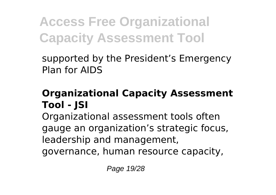supported by the President's Emergency Plan for AIDS

### **Organizational Capacity Assessment Tool - JSI**

Organizational assessment tools often gauge an organization's strategic focus, leadership and management,

governance, human resource capacity,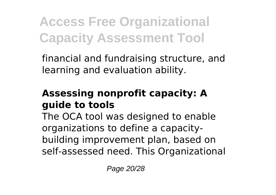financial and fundraising structure, and learning and evaluation ability.

### **Assessing nonprofit capacity: A guide to tools**

The OCA tool was designed to enable organizations to define a capacitybuilding improvement plan, based on self-assessed need. This Organizational

Page 20/28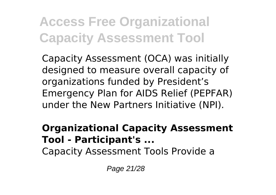Capacity Assessment (OCA) was initially designed to measure overall capacity of organizations funded by President's Emergency Plan for AIDS Relief (PEPFAR) under the New Partners Initiative (NPI).

#### **Organizational Capacity Assessment Tool - Participant's ...**

Capacity Assessment Tools Provide a

Page 21/28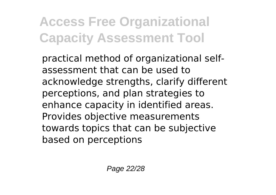practical method of organizational selfassessment that can be used to acknowledge strengths, clarify different perceptions, and plan strategies to enhance capacity in identified areas. Provides objective measurements towards topics that can be subjective based on perceptions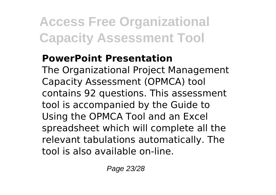### **PowerPoint Presentation**

The Organizational Project Management Capacity Assessment (OPMCA) tool contains 92 questions. This assessment tool is accompanied by the Guide to Using the OPMCA Tool and an Excel spreadsheet which will complete all the relevant tabulations automatically. The tool is also available on-line.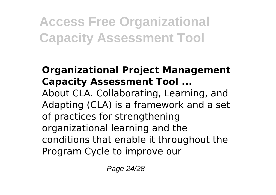#### **Organizational Project Management Capacity Assessment Tool ...** About CLA. Collaborating, Learning, and Adapting (CLA) is a framework and a set of practices for strengthening organizational learning and the conditions that enable it throughout the Program Cycle to improve our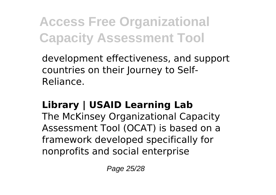development effectiveness, and support countries on their Journey to Self-Reliance.

### **Library | USAID Learning Lab**

The McKinsey Organizational Capacity Assessment Tool (OCAT) is based on a framework developed specifically for nonprofits and social enterprise

Page 25/28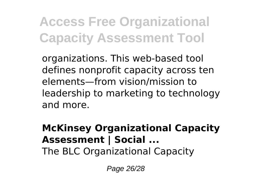organizations. This web-based tool defines nonprofit capacity across ten elements—from vision/mission to leadership to marketing to technology and more.

### **McKinsey Organizational Capacity Assessment | Social ...**

The BLC Organizational Capacity

Page 26/28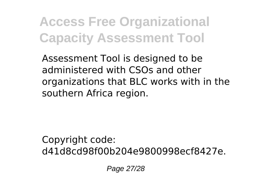Assessment Tool is designed to be administered with CSOs and other organizations that BLC works with in the southern Africa region.

Copyright code: d41d8cd98f00b204e9800998ecf8427e.

Page 27/28